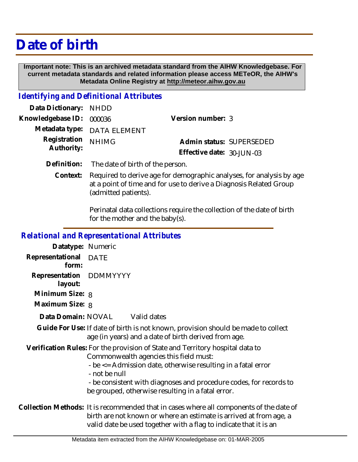# **Date of birth**

 **Important note: This is an archived metadata standard from the AIHW Knowledgebase. For current metadata standards and related information please access METeOR, the AIHW's Metadata Online Registry at http://meteor.aihw.gov.au**

#### *Identifying and Definitional Attributes*

| Data Dictionary: NHDD    |                             |                              |  |
|--------------------------|-----------------------------|------------------------------|--|
| Knowledgebase ID: 000036 |                             | Version number: 3            |  |
|                          | Metadata type: DATA ELEMENT |                              |  |
| Registration NHIMG       |                             | Admin status: SUPERSEDED     |  |
| Authority:               |                             | Effective date: $30$ -JUN-03 |  |
|                          |                             |                              |  |

- **Definition:** The date of birth of the person.
	- Required to derive age for demographic analyses, for analysis by age at a point of time and for use to derive a Diagnosis Related Group (admitted patients). **Context:**

Perinatal data collections require the collection of the date of birth for the mother and the baby(s).

#### *Relational and Representational Attributes*

| Datatype: Numeric                                                                                                                                                                                                                                                                                                                   |                                                                                                                                                                                                                                    |  |
|-------------------------------------------------------------------------------------------------------------------------------------------------------------------------------------------------------------------------------------------------------------------------------------------------------------------------------------|------------------------------------------------------------------------------------------------------------------------------------------------------------------------------------------------------------------------------------|--|
| Representational<br>form:                                                                                                                                                                                                                                                                                                           | <b>DATE</b>                                                                                                                                                                                                                        |  |
| Representation DDMMYYYY<br>layout:                                                                                                                                                                                                                                                                                                  |                                                                                                                                                                                                                                    |  |
| Minimum Size: 8                                                                                                                                                                                                                                                                                                                     |                                                                                                                                                                                                                                    |  |
| Maximum Size: 8                                                                                                                                                                                                                                                                                                                     |                                                                                                                                                                                                                                    |  |
|                                                                                                                                                                                                                                                                                                                                     | Data Domain: NOVAL Valid dates                                                                                                                                                                                                     |  |
|                                                                                                                                                                                                                                                                                                                                     | Guide For Use: If date of birth is not known, provision should be made to collect<br>age (in years) and a date of birth derived from age.                                                                                          |  |
| Verification Rules: For the provision of State and Territory hospital data to<br>Commonwealth agencies this field must:<br>- be <= Admission date, otherwise resulting in a fatal error<br>- not be null<br>- be consistent with diagnoses and procedure codes, for records to<br>be grouped, otherwise resulting in a fatal error. |                                                                                                                                                                                                                                    |  |
|                                                                                                                                                                                                                                                                                                                                     | Collection Methods: It is recommended that in cases where all components of the date of<br>birth are not known or where an estimate is arrived at from age, a<br>valid date be used together with a flag to indicate that it is an |  |